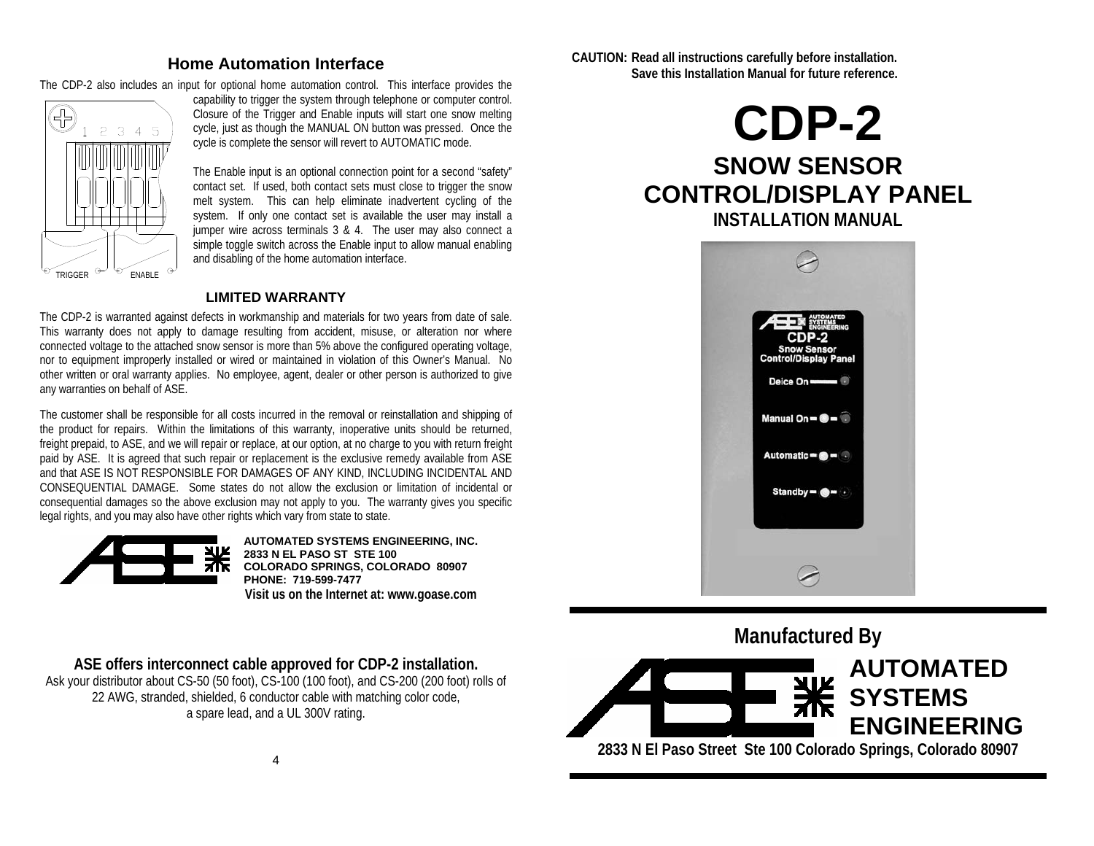### **Home Automation Interface**

The CDP-2 also includes an input for optional home automation control. This interface provides the



capability to trigger the system through telephone or computer control. Closure of the Trigger and Enable inputs will start one snow melting cycle, just as though the MANUAL ON button was pressed. Once the cycle is complete the sensor will revert to AUTOMATIC mode.

The Enable input is an optional connection point for a second "safety" contact set. If used, both contact sets must close to trigger the snow melt system. This can help eliminate inadvertent cycling of the system. If only one contact set is available the user may install a jumper wire across terminals 3 & 4. The user may also connect a simple toggle switch across the Enable input to allow manual enabling and disabling of the home automation interface.

#### **LIMITED WARRANTY**

The CDP-2 is warranted against defects in workmanship and materials for two years from date of sale. This warranty does not apply to damage resulting from accident, misuse, or alteration nor where connected voltage to the attached snow sensor is more than 5% above the configured operating voltage, nor to equipment improperly installed or wired or maintained in violation of this Owner's Manual. No other written or oral warranty applies. No employee, agent, dealer or other person is authorized to give any warranties on behalf of ASE.

The customer shall be responsible for all costs incurred in the removal or reinstallation and shipping of the product for repairs. Within the limitations of this warranty, inoperative units should be returned, freight prepaid, to ASE, and we will repair or replace, at our option, at no charge to you with return freight paid by ASE. It is agreed that such repair or replacement is the exclusive remedy available from ASE and that ASE IS NOT RESPONSIBLE FOR DAMAGES OF ANY KIND, INCLUDING INCIDENTAL AND CONSEQUENTIAL DAMAGE. Some states do not allow the exclusion or limitation of incidental or consequential damages so the above exclusion may not apply to you. The warranty gives you specific legal rights, and you may also have other rights which vary from state to state.



**AUTOMATED SYSTEMS ENGINEERING, INC. 2833 N EL PASO ST STE 100 COLORADO SPRINGS, COLORADO 80907 PHONE: 719-599-7477 Visit us on the Internet at: www.goase.com** 

**ASE offers interconnect cable approved for CDP-2 installation.** 

Ask your distributor about CS-50 (50 foot), CS-100 (100 foot), and CS-200 (200 foot) rolls of 22 AWG, stranded, shielded, 6 conductor cable with matching color code, a spare lead, and a UL 300V rating.

**CAUTION: Read all instructions carefully before installation. Save this Installation Manual for future reference.** 

# **CDP-2 SNOW SENSOR CONTROL/DISPLAY PANEL INSTALLATION MANUAL**



**Manufactured By AUTOMATED SYSTEMS ENGINEERING** 

**2833 N El Paso Street Ste 100 Colorado Springs, Colorado 80907**